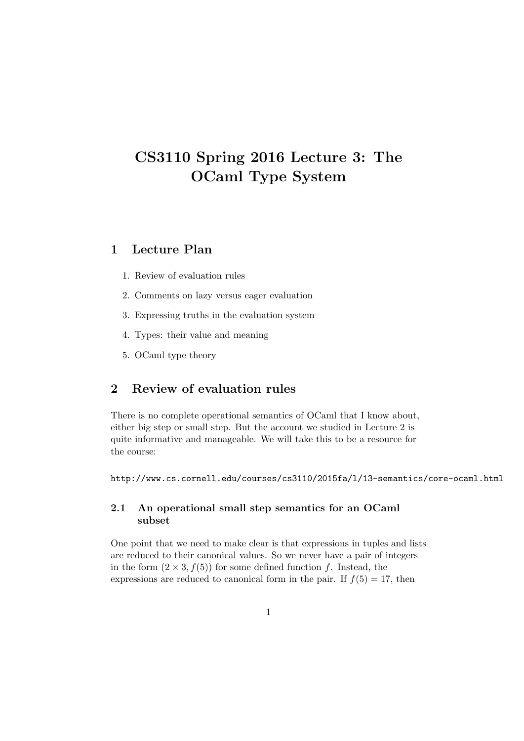# CS3110 Spring 2016 Lecture 3: The OCaml Type System

# 1 Lecture Plan

- 1. Review of evaluation rules
- 2. Comments on lazy versus eager evaluation
- 3. Expressing truths in the evaluation system
- 4. Types: their value and meaning
- 5. OCaml type theory

# 2 Review of evaluation rules

There is no complete operational semantics of OCaml that I know about, either big step or small step. But the account we studied in Lecture 2 is quite informative and manageable. We will take this to be a resource for the course:

http://www.cs.cornell.edu/courses/cs3110/2015fa/l/13-semantics/core-ocaml.html

### 2.1 An operational small step semantics for an OCaml subset

One point that we need to make clear is that expressions in tuples and lists are reduced to their canonical values. So we never have a pair of integers in the form  $(2 \times 3, f(5))$  for some defined function f. Instead, the expressions are reduced to canonical form in the pair. If  $f(5) = 17$ , then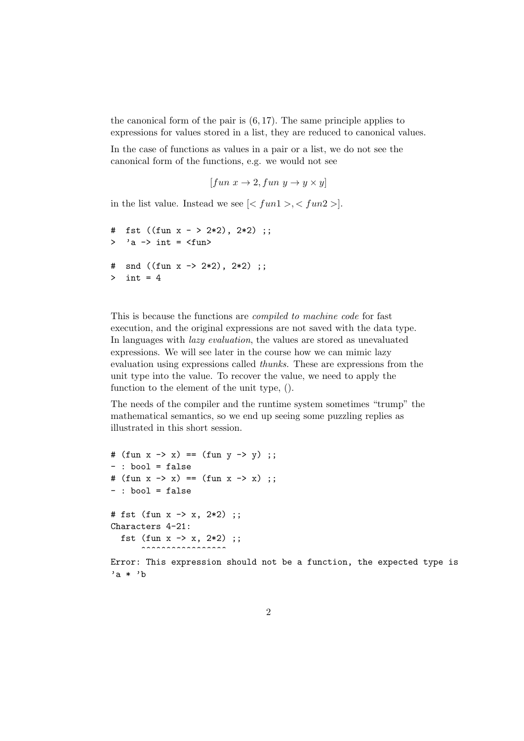the canonical form of the pair is  $(6, 17)$ . The same principle applies to expressions for values stored in a list, they are reduced to canonical values.

In the case of functions as values in a pair or a list, we do not see the canonical form of the functions, e.g. we would not see

```
[fun x \rightarrow 2, fun y \rightarrow y \times y]
```
in the list value. Instead we see  $\lfloor \langle \text{fun1} \rangle, \langle \text{fun2} \rangle \rfloor$ .

```
# fst ((fun x - > 2*2), 2*2);
> 'a -> int = \tan# snd ((fun x -> 2*2), 2*2) ;;
> int = 4
```
This is because the functions are compiled to machine code for fast execution, and the original expressions are not saved with the data type. In languages with lazy evaluation, the values are stored as unevaluated expressions. We will see later in the course how we can mimic lazy evaluation using expressions called thunks. These are expressions from the unit type into the value. To recover the value, we need to apply the function to the element of the unit type, ().

The needs of the compiler and the runtime system sometimes "trump" the mathematical semantics, so we end up seeing some puzzling replies as illustrated in this short session.

```
# (fun x -> x) == (fun y -> y);
- : bool = false
# (fun x -> x) == (fun x -> x);
- : bool = false
# fst (fun x -> x, 2*2) ;;
Characters 4-21:
  fst (fun x \rightarrow x, 2*2);
      ^^^^^^^^^^^^^^^^^
```
Error: This expression should not be a function, the expected type is 'a \* 'b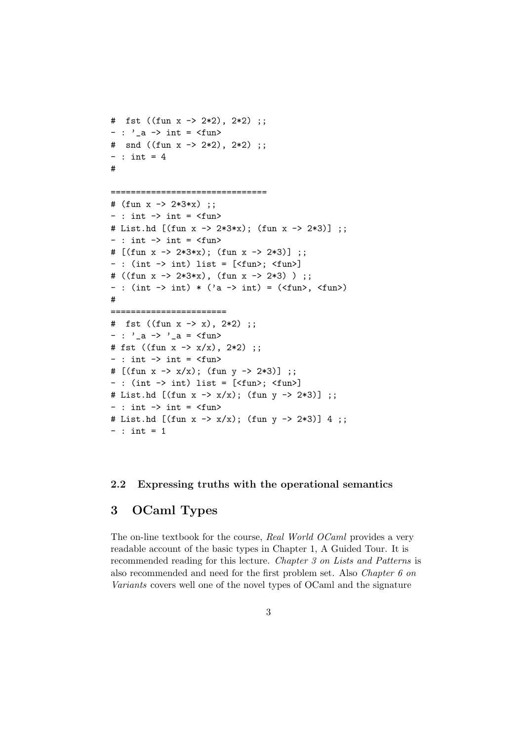```
# fst ((fun x -> 2*2), 2*2) ;;
- : \prime<sub>-</sub>a -> int = <fun>
# snd ((fun x -> 2*2), 2*2) ;;
- : int = 4
#
====================================
# (fun x -> 2*3*x) ;;
- : int \rightarrow int = \langlefun>
# List.hd [(\text{fun } x \rightarrow 2*3*x); (\text{fun } x \rightarrow 2*3)];
- : int \rightarrow int = \langlefun>
# [(fun x -> 2*3*x); (fun x -> 2*3)] ;;
- : (int -> int) list = [\langle fun\rangle; \langle fun\rangle]# ((fun x -> 2*3*x), (fun x -> 2*3) ) ;;
- : (int -> int) * ('a -> int) = (<fun>, <fun>)
#
=======================
# fst ((fun x -> x), 2*2) ;;
- : '_{-}a -> '_{-}a = \langlefun>
# fst ((fun x \rightarrow x/x), 2*2);
- : int \rightarrow int = \langle fun \rangle# [(\text{fun } x \rightarrow x/x); (\text{fun } y \rightarrow 2*3)] ;;
- : (int \rightarrow int) list = [<fun>; <fun>]
# List.hd [(\text{fun } x \rightarrow x/x); (\text{fun } y \rightarrow 2*3)];
- : int \rightarrow int = \langlefun>
# List.hd [(\text{fun } x \rightarrow x/x); (\text{fun } y \rightarrow 2*3)] 4;;
- : int = 1
```
#### 2.2 Expressing truths with the operational semantics

### 3 OCaml Types

The on-line textbook for the course, Real World OCaml provides a very readable account of the basic types in Chapter 1, A Guided Tour. It is recommended reading for this lecture. Chapter 3 on Lists and Patterns is also recommended and need for the first problem set. Also Chapter 6 on Variants covers well one of the novel types of OCaml and the signature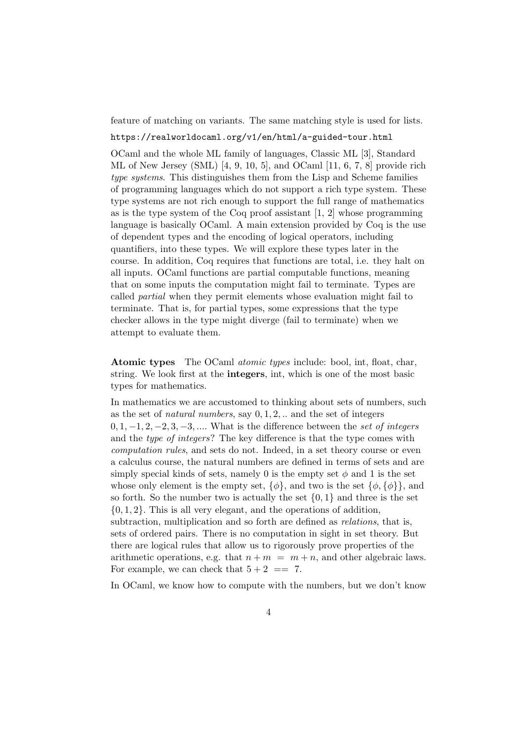feature of matching on variants. The same matching style is used for lists.

#### https://realworldocaml.org/v1/en/html/a-guided-tour.html

OCaml and the whole ML family of languages, Classic ML [3], Standard ML of New Jersey (SML) [4, 9, 10, 5], and OCaml  $[11, 6, 7, 8]$  provide rich type systems. This distinguishes them from the Lisp and Scheme families of programming languages which do not support a rich type system. These type systems are not rich enough to support the full range of mathematics as is the type system of the Coq proof assistant [1, 2] whose programming language is basically OCaml. A main extension provided by Coq is the use of dependent types and the encoding of logical operators, including quantifiers, into these types. We will explore these types later in the course. In addition, Coq requires that functions are total, i.e. they halt on all inputs. OCaml functions are partial computable functions, meaning that on some inputs the computation might fail to terminate. Types are called partial when they permit elements whose evaluation might fail to terminate. That is, for partial types, some expressions that the type checker allows in the type might diverge (fail to terminate) when we attempt to evaluate them.

Atomic types The OCaml *atomic types* include: bool, int, float, char, string. We look first at the integers, int, which is one of the most basic types for mathematics.

In mathematics we are accustomed to thinking about sets of numbers, such as the set of *natural numbers*, say  $0, 1, 2, \ldots$  and the set of integers  $0, 1, -1, 2, -2, 3, -3, \ldots$  What is the difference between the set of integers and the type of integers? The key difference is that the type comes with computation rules, and sets do not. Indeed, in a set theory course or even a calculus course, the natural numbers are defined in terms of sets and are simply special kinds of sets, namely 0 is the empty set  $\phi$  and 1 is the set whose only element is the empty set,  $\{\phi\}$ , and two is the set  $\{\phi, \{\phi\}\}\$ , and so forth. So the number two is actually the set  $\{0,1\}$  and three is the set  $\{0, 1, 2\}$ . This is all very elegant, and the operations of addition, subtraction, multiplication and so forth are defined as *relations*, that is, sets of ordered pairs. There is no computation in sight in set theory. But there are logical rules that allow us to rigorously prove properties of the arithmetic operations, e.g. that  $n + m = m + n$ , and other algebraic laws. For example, we can check that  $5 + 2 == 7$ .

In OCaml, we know how to compute with the numbers, but we don't know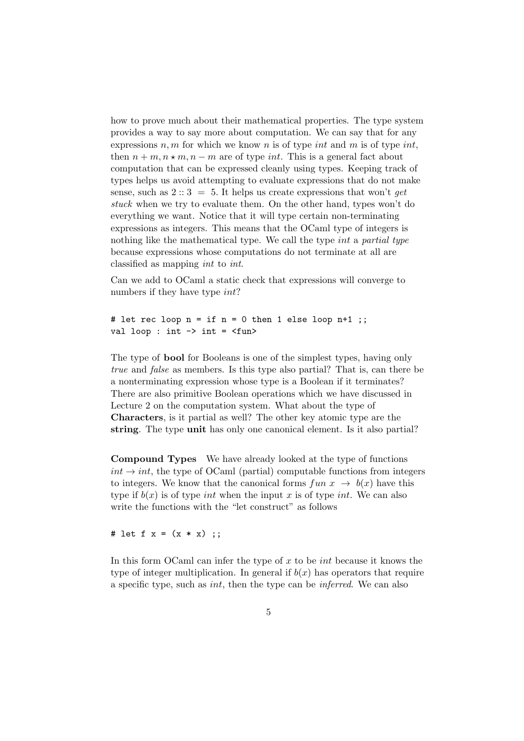how to prove much about their mathematical properties. The type system provides a way to say more about computation. We can say that for any expressions n, m for which we know n is of type int and m is of type int, then  $n + m, n \star m, n - m$  are of type *int*. This is a general fact about computation that can be expressed cleanly using types. Keeping track of types helps us avoid attempting to evaluate expressions that do not make sense, such as  $2::3 = 5$ . It helps us create expressions that won't get stuck when we try to evaluate them. On the other hand, types won't do everything we want. Notice that it will type certain non-terminating expressions as integers. This means that the OCaml type of integers is nothing like the mathematical type. We call the type *int* a partial type because expressions whose computations do not terminate at all are classified as mapping int to int.

Can we add to OCaml a static check that expressions will converge to numbers if they have type int?

# let rec loop  $n = if n = 0 then 1 else loop n+1$ ; val loop : int  $\rightarrow$  int =  $\langle$ fun>

The type of bool for Booleans is one of the simplest types, having only true and false as members. Is this type also partial? That is, can there be a nonterminating expression whose type is a Boolean if it terminates? There are also primitive Boolean operations which we have discussed in Lecture 2 on the computation system. What about the type of Characters, is it partial as well? The other key atomic type are the string. The type unit has only one canonical element. Is it also partial?

Compound Types We have already looked at the type of functions  $int \rightarrow int$ , the type of OCaml (partial) computable functions from integers to integers. We know that the canonical forms  $fun x \rightarrow b(x)$  have this type if  $b(x)$  is of type *int* when the input x is of type *int*. We can also write the functions with the "let construct" as follows

# let f  $x = (x * x)$  ;;

In this form OCaml can infer the type of  $x$  to be *int* because it knows the type of integer multiplication. In general if  $b(x)$  has operators that require a specific type, such as int, then the type can be inferred. We can also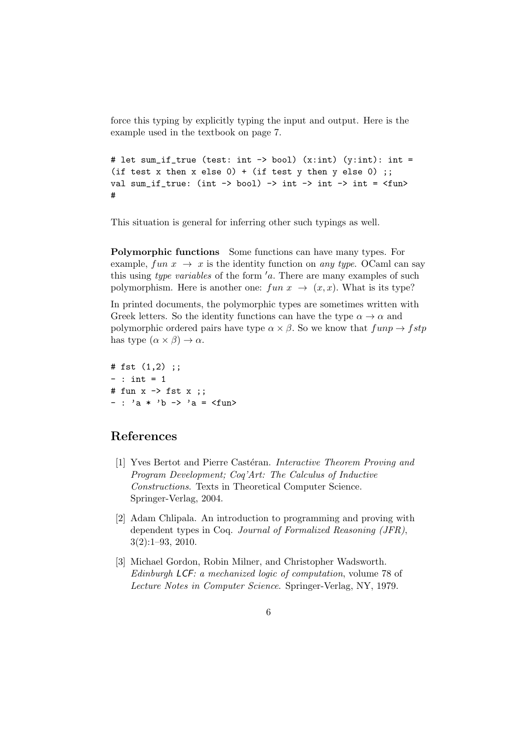force this typing by explicitly typing the input and output. Here is the example used in the textbook on page 7.

```
# let sum_if_true (test: int -> bool) (x:int) (y:int): int =
(if test x then x else 0) + (if test y then y else 0);
val sum_if_true: (int -> bool) -> int -> int -> int = \tan#
```
This situation is general for inferring other such typings as well.

Polymorphic functions Some functions can have many types. For example, fun  $x \to x$  is the identity function on any type. OCaml can say this using type variables of the form  $a$ . There are many examples of such polymorphism. Here is another one:  $fun x \rightarrow (x, x)$ . What is its type?

In printed documents, the polymorphic types are sometimes written with Greek letters. So the identity functions can have the type  $\alpha \to \alpha$  and polymorphic ordered pairs have type  $\alpha \times \beta$ . So we know that  $fupp \rightarrow fstp$ has type  $(\alpha \times \beta) \rightarrow \alpha$ .

# fst (1,2) ;;  $-$  : int  $= 1$ # fun x -> fst x ;;  $-$  : 'a \* 'b -> 'a = <fun>

## References

- [1] Yves Bertot and Pierre Castéran. Interactive Theorem Proving and Program Development; Coq'Art: The Calculus of Inductive Constructions. Texts in Theoretical Computer Science. Springer-Verlag, 2004.
- [2] Adam Chlipala. An introduction to programming and proving with dependent types in Coq. Journal of Formalized Reasoning (JFR), 3(2):1–93, 2010.
- [3] Michael Gordon, Robin Milner, and Christopher Wadsworth. Edinburgh LCF: a mechanized logic of computation, volume 78 of Lecture Notes in Computer Science. Springer-Verlag, NY, 1979.